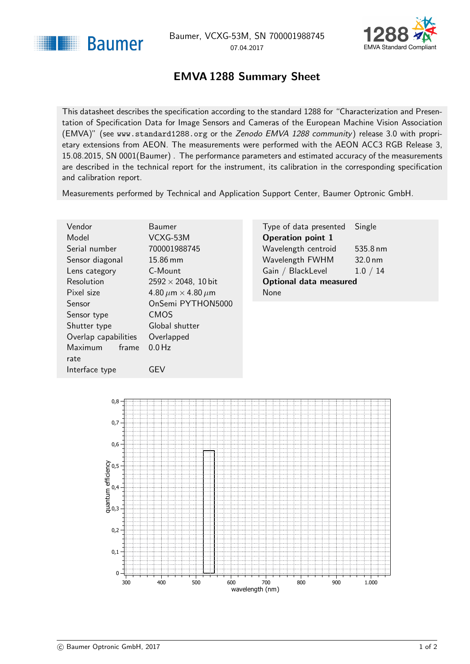<span id="page-0-1"></span>



## EMVA 1288 Summary Sheet

<span id="page-0-0"></span>This datasheet describes the specification according to the standard 1288 for "Characterization and Presentation of Specification Data for Image Sensors and Cameras of the European Machine Vision Association (EMVA)" (see <www.standard1288.org> or the [Zenodo EMVA 1288 community](http://www.zenodo.org/collection/user-emva1288) ) release 3.0 with proprietary extensions from AEON. The measurements were performed with the AEON ACC3 RGB Release 3, 15.08.2015, SN 0001(Baumer) . The performance parameters and estimated accuracy of the measurements are described in the technical report for the instrument, its calibration in the corresponding specification and calibration report.

Measurements performed by Technical and Application Support Center, Baumer Optronic GmbH.

| Vendor                  | <b>Baumer</b>                      | Type of data presented        | Single            |
|-------------------------|------------------------------------|-------------------------------|-------------------|
| Model                   | VCXG-53M                           | <b>Operation point 1</b>      |                   |
| Serial number           | 700001988745                       | Wavelength centroid           | 535.8 nm          |
| Sensor diagonal         | $15.86 \text{ mm}$                 | Wavelength FWHM               | $32.0 \text{ nm}$ |
| Lens category           | C-Mount                            | Gain / BlackLevel             | 1.0 / 14          |
| Resolution              | $2592 \times 2048$ , 10 bit        | <b>Optional data measured</b> |                   |
| Pixel size              | 4.80 $\mu$ m $\times$ 4.80 $\mu$ m | None                          |                   |
| <b>Sensor</b>           | OnSemi PYTHON5000                  |                               |                   |
| Sensor type             | <b>CMOS</b>                        |                               |                   |
| Shutter type            | Global shutter                     |                               |                   |
| Overlap capabilities    | Overlapped                         |                               |                   |
| <b>Maximum</b><br>frame | $0.0$ Hz                           |                               |                   |
| rate                    |                                    |                               |                   |



Interface type **GEV**